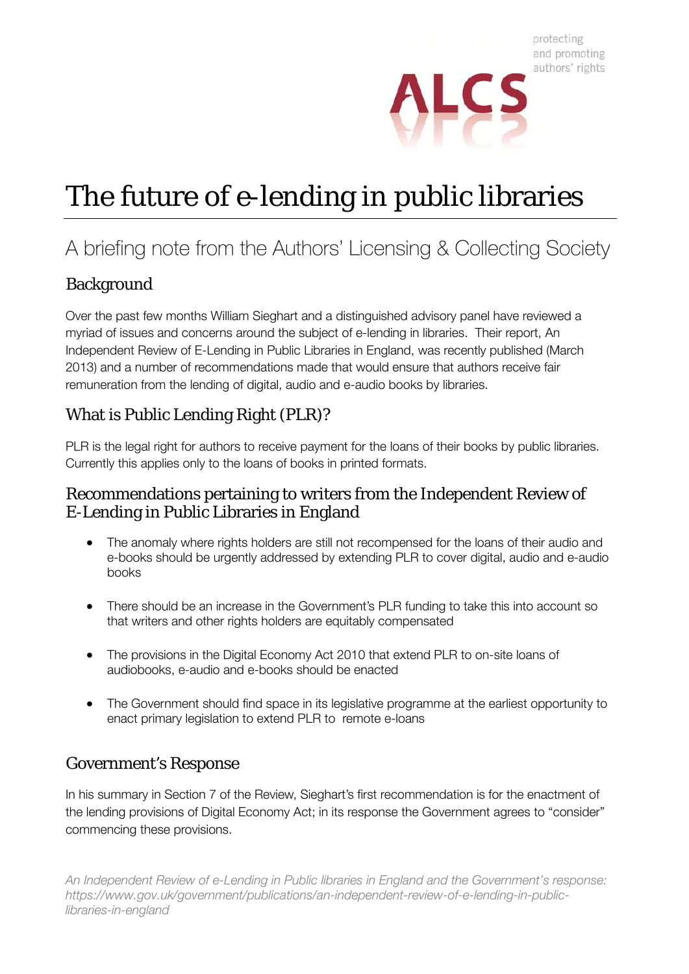

# The future of e-lending in public libraries

# A briefing note from the Authors' Licensing & Collecting Society

# Background

Over the past few months William Sieghart and a distinguished advisory panel have reviewed a myriad of issues and concerns around the subject of e-lending in libraries. Their report, An Independent Review of E-Lending in Public Libraries in England, was recently published (March 2013) and a number of recommendations made that would ensure that authors receive fair remuneration from the lending of digital, audio and e-audio books by libraries.

# What is Public Lending Right (PLR)?

PLR is the legal right for authors to receive payment for the loans of their books by public libraries. Currently this applies only to the loans of books in printed formats.

#### Recommendations pertaining to writers from the Independent Review of E-Lending in Public Libraries in England

- The anomaly where rights holders are still not recompensed for the loans of their audio and e-books should be urgently addressed by extending PLR to cover digital, audio and e-audio books
- There should be an increase in the Government's PLR funding to take this into account so that writers and other rights holders are equitably compensated
- The provisions in the Digital Economy Act 2010 that extend PLR to on-site loans of audiobooks, e-audio and e-books should be enacted
- The Government should find space in its legislative programme at the earliest opportunity to enact primary legislation to extend PLR to remote e-loans

# Government's Response

In his summary in Section 7 of the Review, Sieghart's first recommendation is for the enactment of the lending provisions of Digital Economy Act; in its response the Government agrees to "consider" commencing these provisions.

*An Independent Review of e-Lending in Public libraries in England and the Government's response: https://www.gov.uk/government/publications/an-independent-review-of-e-lending-in-publiclibraries-in-england*